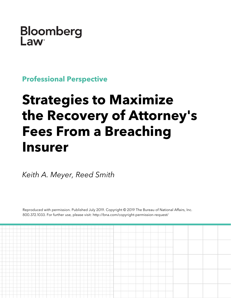

**Professional Perspective**

# **Strategies to Maximize the Recovery of Attorney's Fees From a Breaching Insurer**

*Keith A. Meyer, Reed Smith*

Reproduced with permission. Published July 2019. Copyright © 2019 The Bureau of National Affairs, Inc. 800.372.1033. For further use, please visit: http://bna.com/copyright-permission-request/

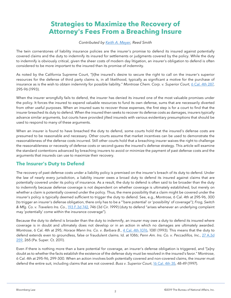## **Strategies to Maximize the Recovery of Attorney's Fees From a Breaching Insure**

## *Contributed by [Keith A. Meyer,](https://www.reedsmith.com/en/professionals/m/meyer-keith-a) Reed Smith*

The twin cornerstones of liability insurance policies are the insurer's promise to defend its insured against potentially covered claims and the duty to indemnify its insured for settlements or judgments covered by the policy. While the duty to indemnify is obviously critical, given the sheer costs of modern day litigation, an insurer's obligation to defend is often considered to be more important to the insured than its promise of indemnity.

As noted by the California Supreme Court, "[t]he insured's desire to secure the right to call on the insurer's superior resources for the defense of third party claims is, in all likelihood, typically as significant a motive for the purchase of insurance as is the wish to obtain indemnity for possible liability." *Montrose Chem. Corp. v. Superior Court*, [6 Cal. 4th 287,](https://www.bloomberglaw.com/citation/6%20california%204th%20287)  295-96 (1993).

When the insurer wrongfully fails to defend, the insurer has denied its insured one of the most valuable promises under the policy. It forces the insured to expend valuable resources to fund its own defense, sums that are necessarily diverted from other useful purposes. When an insured sues to recover those expenses, the first step is for a court to find that the insurer breached its duty to defend. When the insured then seeks to recover its defense costs as damages, insurers typically advance similar arguments, but courts have provided jilted insureds with various evidentiary presumptions that should be used to respond to many of these arguments.

When an insurer is found to have breached the duty to defend, some courts hold that the insured's defense costs are presumed to be reasonable and necessary. Other courts assume that market incentives can be used to demonstrate the reasonableness of the defense costs incurred. Still other courts hold that a breaching insurer waives the right to challenge the reasonableness or necessity of defense costs or second-guess the insured's defense strategy. This article will examine the standard contentions advanced by breaching insurers to avoid or minimize the payment of past defense costs and the arguments that insureds can use to maximize their recovery.

## **The Insurer's Duty to Defend**

The recovery of past defense costs under a liability policy is premised on the insurer's breach of its duty to defend. Under the law of nearly every jurisdiction, a liability insurer owes a broad duty to defend its insured against claims that are potentially covered under its policy of insurance. As a result, the duty to defend is often said to be broader than the duty to indemnify because defense coverage is not dependent on whether coverage is ultimately established, but merely on whether a claim is potentially covered under the policy. Thus, the mere possibility that a claim might be covered under the insurer's policy is typically deemed sufficient to trigger the duty to defend. See, e.g., *Montrose*, 6 Cal. 4th at 295-96, 300 (to trigger an insurer's defense obligation, there only has to be a "'bare potential' or 'possibility' of coverage"); *Frog, Switch & Mfg. Co. v. Travelers Ins. Co.*, [193 F.3d 742,](https://www.bloomberglaw.com/citation/193%20f%203d%20742) 746 (3d Cir. 1999) (duty to defend "arises whenever an underlying complaint may 'potentially' come within the insurance coverage").

Because the duty to defend is broader than the duty to indemnify, an insurer may owe a duty to defend its insured where coverage is in doubt and ultimately does not develop or in an action in which no damages are ultimately awarded. *Montrose*, 6 Cal. 4th at 295; *Horace Mann Ins. Co. v. Barbara B.*, [4 Cal. 4th 1076,](https://www.bloomberglaw.com/citation/4%20california%204th%201076) 1081 (1993). This means that the duty to defend extends even to groundless, false or fraudulent claims. Id. at 1086; *Penn Am. Ins. Co. v. Peccadillos, Inc.*, [27 A.3d](https://www.bloomberglaw.com/citation/27%20atlantic%203d%20259)  [259,](https://www.bloomberglaw.com/citation/27%20atlantic%203d%20259) 265 (Pa. Super. Ct. 2011).

Even if there is nothing more than a bare potential for coverage, an insurer's defense obligation is triggered, and "[a]ny doubt as to whether the facts establish the existence of the defense duty must be resolved in the insured's favor." *Montrose*, 6 Cal. 4th at 295-96, 299-300. When an action involves both potentially covered and non-covered claims, the insurer must defend the entire suit, including claims that are not covered. *Buss v. Superior Court*, [16 Cal. 4th 35,](https://www.bloomberglaw.com/citation/16%20california%204th%2035) 48-49 (1997).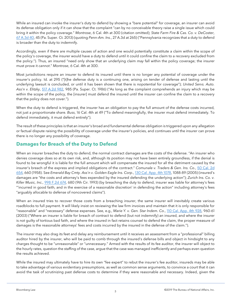While an insured can invoke the insurer's duty to defend by showing a "bare potential" for coverage, an insurer can avoid its defense obligation only if it can show that the complaint "can by no conceivable theory raise a single issue which could bring it within the policy coverage." *Montrose*, 6 Cal. 4th at 300 (citation omitted); *State Farm Fire & Cas. Co. v. DeCoster*, [67 A.3d 40,](https://www.bloomberglaw.com/citation/67%20atlantic%203d%2040) 45 (Pa. Super. Ct. 2013) (quoting *Penn-Am. Ins.*, 27 A.3d at 265) ("Pennsylvania recognizes that a duty to defend is broader than the duty to indemnify.

Accordingly, even if there are multiple causes of action and one would potentially constitute a claim within the scope of the policy's coverage, the insurer would have a duty to defend until it could confine the claim to a recovery excluded from the policy."). Thus, an insured "need only show that an underlying claim *may* fall within the policy coverage; the insurer must prove it *cannot*." *Montrose*, 6 Cal. 4th at 300.

Most jurisdictions require an insurer to defend its insured until there is no longer any potential of coverage under the insurer's policy. Id. at 295 ("[t]he defense duty is a continuing one, arising on tender of defense and lasting until the underlying lawsuit is concluded, or until it has been shown that there is *no*potential for coverage"); *United Servs. Auto. Ass'n v. Elitzky*, [517 A.2d 982,](https://www.bloomberglaw.com/citation/517%20atlantic%202d%20982) 985 (Pa. Super. Ct. 1986) ("As long as the complaint comprehends an injury which may be within the scope of the policy, the [insurer] must defend the insured until the insurer can confine the claim to a recovery that the policy does not cover.").

When the duty to defend is triggered, the insurer has an obligation to pay the full amount of the defense costs incurred, not just a proportionate share. *Buss*, 16 Cal. 4th at 49 ("To defend meaningfully, the insurer must defend immediately. To defend immediately, it must defend entirely").

The result of these principles is that an insurer's broad and fundamental defense obligation is triggered upon any allegation or factual dispute raising the possibility of coverage under the insurer's policies, and continues until the insurer can prove there is no longer any possibility of coverage.

## **Damages for Breach of the Duty to Defend**

When an insurer breaches the duty to defend, the normal contract damages are the costs of the defense. "An insurer who denies coverage does so at its own risk, and, although its position may not have been entirely groundless, if the denial is found to be wrongful it is liable for the full amount which will compensate the insured for all the detriment caused by the insurer's breach of the express and implied obligations of the contract." *Comunale v. Traders & Gen. Ins. Co.*, [50 Cal. 2d](https://www.bloomberglaw.com/citation/50%20california%202d%20654)  [654,](https://www.bloomberglaw.com/citation/50%20california%202d%20654) 660 (1958). See *Emerald Bay Cmty. Ass'n v. Golden Eagle Ins. Corp.*, [130 Cal. App. 4th 1078,](https://www.bloomberglaw.com/citation/130%20california%20appellate%204th%201078) 1088-89 (2005) (insured's damages are "the costs and attorney's fees expended by the insured defending the underlying action"); *Zurich Ins. Co. v. Killer Music, Inc.*, [998 F.2d 674,](https://www.bloomberglaw.com/citation/998%20f%202d%20674) 680 (9th Cir. 1993) (by breaching the duty to defend, insurer was liable for attorney's fees "'incurred in good faith, and in the exercise of a reasonable discretion' in defending the action" including attorney's fees "arguably allocable to defense of noncovered claims").

When an insured tries to recover those costs from a breaching insurer, the same insurer will inevitably create various roadblocks to full payment. It will likely insist on reviewing the law firm invoices and maintain that it is only responsible for "reasonable" and "necessary" defense expenses. See, e.g., *Marie Y. v. Gen. Star Indem. Co.*, [110 Cal. App. 4th 928,](https://www.bloomberglaw.com/citation/110%20california%20appellate%204th%20928) 960-61 (2003) ("Where an insurer is liable for breach of contract to defend (but not indemnify) an insured, and where the insurer is *not* guilty of tortious bad faith, and where the insured in fact retains counsel to defend the claim, the proper measure of damages is the reasonable attorneys' fees and costs incurred by the insured in the defense of the claim.").

The insurer may also drag its feet and delay any reimbursement until it receives an assessment from a "professional" billing auditor hired by the insurer, who will be paid to comb through the insured's defense bills and object in hindsight to any charges thought to be "unreasonable" or "unnecessary." Armed with the results of its fee auditor, the insurer will object to the hourly rates, question the staffing of the case, argue that the case was managed inefficiently and perhaps even question the results achieved.

While the insured may ultimately have to hire its own "fee expert" to rebut the insurer's fee auditor, insureds may be able to take advantage of various evidentiary presumptions, as well as common sense arguments, to convince a court that it can avoid the task of scrutinizing past defense costs to determine if they were reasonable and necessary. Indeed, given the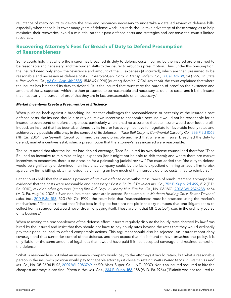reluctance of many courts to devote the time and resources necessary to undertake a detailed review of defense bills, especially when those bills cover many years of defense work, insureds should take advantage of these strategies to help maximize their recoveries, avoid a mini-trial on their past defense costs and strategies and conserve the court's limited resources.

## **Recovering Attorney's Fees for Breach of Duty to Defend Presumption of Reasonableness**

Some courts hold that where the insurer has breached its duty to defend, costs incurred by the insured are presumed to be reasonable and necessary, and the burden shifts to the insurer to rebut this presumption. Thus, under this presumption, the insured need only show the "existence and amount of the … expenses [it incurred], which are then presumed to be reasonable and necessary as defense costs …" *Aerojet-Gen. Corp. v. Transp. Indem. Co.*, [17 Cal. 4th 38,](https://www.bloomberglaw.com/citation/17%20california%204th%2038) 64 (1997). In *State v. Pac. Indem. Co.*, [63 Cal. App. 4th 1535,](https://www.bloomberglaw.com/citation/63%20california%20appellate%204th%201535) 1548-49 (1998) (quoting *Aerojet*, 17 Cal. 4th at 64), the court explained that where the insurer has breached its duty to defend, "it is the insured that must carry the burden of proof on the existence and amount of the … expenses, which are then presumed to be reasonable and necessary as defense costs, and it is the insurer that must carry the burden of proof that they are in fact unreasonable or unnecessary."

#### *Market Incentives Create a Presumption of Efficiency*

When pushing back against a breaching insurer that challenges the reasonableness or necessity of the insured's past defense costs, the insured should also rely on its own incentive to economize because it would not be reasonable for an insured to overspend on defense expenses, particularly when it had no assurance that the insurer would ever foot the bill. Indeed, an insured that has been abandoned by its insurer has every incentive to negotiate for favorable hourly rates and achieve every possible efficiency in the conduct of its defense. In *Taco Bell Corp. v. Continental Casualty Co.,* [388 F.3d 1069](https://www.bloomberglaw.com/citation/388%20f%203d%201069) (7th Cir. 2004), the Seventh Circuit confirmed this basic principle and held that where an insurer breached the duty to defend, market incentives established a presumption that the attorney's fees incurred were reasonable.

The court noted that after the insurer had denied coverage, Taco Bell hired its own defense counsel and therefore "Taco Bell had an incentive to minimize its legal expenses (for it might not be able to shift them); and where there are market incentives to economize, there is no occasion for a painstaking judicial review." The court added that "the duty to defend would be significantly undermined if an insurance company could, by the facile expedient of hiring an audit firm to pick apart a law firm's billing, obtain an evidentiary hearing on how much of the insured's defense costs it had to reimburse."

Other courts hold that the insured's payment of "its own defense costs without assurance of reimbursement is 'compelling evidence' that the costs were reasonable and necessary." *Post v. St. Paul Travelers Ins. Co.*, [752 F. Supp. 2d 499,](https://www.bloomberglaw.com/citation/752%20f%20supp%202d%20499) 512 (E.D. Pa. 2010), *rev'd on other grounds*, (citing *Rite Aid Corp. v. Liberty Mut. Fire Ins. Co.*, No. 03-1801, [2006 WL 2376238,](https://www.bloomberglaw.com/citation/2006%20wl%202376238) at \*4 (M.D. Pa. Aug. 14, 2006)). Even non-insurance cases are in accord. For example, in *Medcom Holding Co. v. Baxter Travenol Labs, Inc.*, [200 F.3d 518,](https://www.bloomberglaw.com/citation/200%20f%203d%20518) 520 (7th Cir. 1999), the court held that "reasonableness must be assessed using the market's mechanisms." The court noted that "[t]he fees in dispute here are not pie-in-the-sky numbers that one litigant seeks to collect from a stranger but would never dream of paying itself. These are bills that MHC *actually paid* in the ordinary course of its business."

When assessing the reasonableness of the defense effort, insurers regularly dispute the hourly rates charged by law firms hired by the insured and insist that they should not have to pay hourly rates beyond the rates that they would ordinarily pay their panel counsel to defend comparable actions. This argument should also be rejected. An insurer cannot deny coverage and thus surrender control of the defense, and then expect that if it is found to have breached the policy, it is only liable for the same amount of legal fees that it would have paid if it had accepted coverage and retained control of the defense.

"What is reasonable is not what an insurance company would pay to the attorneys it would retain, but what a reasonable person in the insured's position would pay for capable attorneys it chose to retain." *Watts Water Techs. v. Fireman's Fund Ins. Co.*, No. 05-2604-BLS2, [2007 WL 2083769,](https://www.bloomberglaw.com/citation/2007%20wl%202083769) at \*10 (Mass. Super. Ct. July 11, 2007). Nor is an insured required to hire the cheapest attorneys it can find. *Ripepi v. Am. Ins. Cos.*, [234 F. Supp. 156,](https://www.bloomberglaw.com/citation/234%20f%20supp%20156) 158 (W.D. Pa. 1964) ("Plaintiff was not required to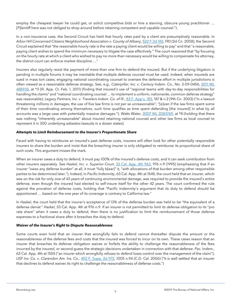employ the cheapest lawyer he could get, or solicit competitive bids or hire a starving, obscure young practitioner … [P]laintiff here was not obliged to shop around before retaining competent and capable counsel.").

In a non-insurance case, the Second Circuit has held that hourly rates paid by a client are presumptively reasonable. In *Arbor Hill Concerned Citizens Neighborhood Association v. County of Albany*, [522 F.3d 182,](https://www.bloomberglaw.com/citation/522%20f%203d%20182) 190 (2d Cir. 2008), the Second Circuit explained that "the reasonable hourly rate is the rate a paying client would be willing to pay" and that "a reasonable, paying client wishes to spend the minimum necessary to litigate the case effectively." The court reasoned that "by focusing on the hourly rate at which a client who wished to pay no more than necessary would be willing to compensate his attorney, the district court can enforce market discipline …"

Insurers also regularly resist the payment of more than one firm to defend the insured. But if the underlying litigation is pending in multiple forums it may be inevitable that multiple defense counsel must be used. Indeed, when insureds are sued in mass tort cases, engaging national coordinating counsel to oversee the defense effort in multiple jurisdictions is often viewed as a reasonable defense strategy. See, e.g., *Caterpillar, Inc. v. Century Indem. Co.*, No. 3-09-0456, [2011 WL](https://www.bloomberglaw.com/citation/2011%20wl%20488935)  [488935,](https://www.bloomberglaw.com/citation/2011%20wl%20488935) at \*3 (Ill. App. Ct. Feb. 1, 2011) (finding that insured's use of "regional teams with day-to-day responsibilities for handling the claims" and "national coordinating counsel ... to implement a uniform, nationwide, common defense strategy" was reasonable); Legacy Partners, Inc. v. Travelers Indem. Co. of III., [83 F. App'x. 183,](https://www.bloomberglaw.com/citation/83%20f%20appx%20183) 187 & n.2 (9th Cir. 2003) ("In a lawsuit threatening millions in damages, the use of five law firms is not per se unreasonable"; "[e]ven if the law firms spent some of their time coordinating among themselves, such time qualifies as time spent defending [the insured] in what by all accounts was a large case with potentially massive damages."); *Watts Water*, [2007 WL 2083769,](https://www.bloomberglaw.com/citation/2007%20wl%202083769) at \*8 (holding that there was nothing "inherently unreasonable" about insured retaining national counsel and other law firms as local counsel to represent it in 300 underlying asbestos lawsuits in a dozen states).

#### *Attempts to Limit Reimbursement to the Insurer's Proportionate Share*

Faced with having to reimburse an insured's past defense costs, insurers will often look for other potentially responsible insurers to share the burden and insist that the breaching insurer is only obligated to reimburse its proportional share of such costs. This argument misses the mark.

When an insurer owes a duty to defend, it must pay 100% of the insured's defense costs, and it can seek contribution from other insurers separately. See *Haskel, Inc. v. Superior Court*, [33 Cal. App. 4th 963,](https://www.bloomberglaw.com/citation/33%20california%20appellate%204th%20963) 976 n.9 (1995) (emphasizing that if an insurer "owes any defense burden" at all, it must "fully b[ear]" it, "with allocations of that burden among other responsible parties to be determined later."). Indeed, in *Pacific Indemnity*, 63 Cal. App. 4th at 1548, the court held that an insurer, which was on the risk for only one of 43 years of continuing environmental damage, was required to provide the insured's entire defense, even though the insured had elected to self-insure itself for the other 42 years. The court confirmed the rule against the proration of defense costs, holding that "Pacific Indemnity's argument that its duty to defend should be apportioned … based on the one year of its coverage is contrary to California law."

In *Haskel*, the court held that the insurer's acceptance of 13% of the defense burden was held to be "the equivalent of a defense denial." *Haskel*, 33 Cal. App. 4th at 976 n.9. If an insurer is not permitted to limit its defense obligation to its "pro rata share" when it owes a duty to defend, then there is no justification to limit the reimbursement of those defense expenses to a fractional share after it breaches the duty to defend.

#### *Waiver of the Insurer's Right to Dispute Reasonableness*

Some courts even hold that an insurer that wrongfully fails to defend cannot thereafter dispute the amount or the reasonableness of the defense fees and costs that the insured was forced to incur on its own. These cases reason that an insurer that breaches its defense obligation waives or forfeits the ability to challenge the reasonableness of the fees incurred by the insured, or second-guess the strategic decisions undertaken in connection with that defense. *Pac. Indem.*, 63 Cal. App. 4th at 1555 ("an insurer which wrongfully refuses to defend loses control over the management of the claim"); *USF Ins. Co. v. Clarendon Am. Ins. Co.,* [452 F. Supp. 2d 972,](https://www.bloomberglaw.com/citation/452%20f%20supp%202d%20972) 1005 n.94 (C.D. Cal. 2006) ("It is well settled that an insurer that declines to defend waives its right to challenge the reasonableness of defense costs.")